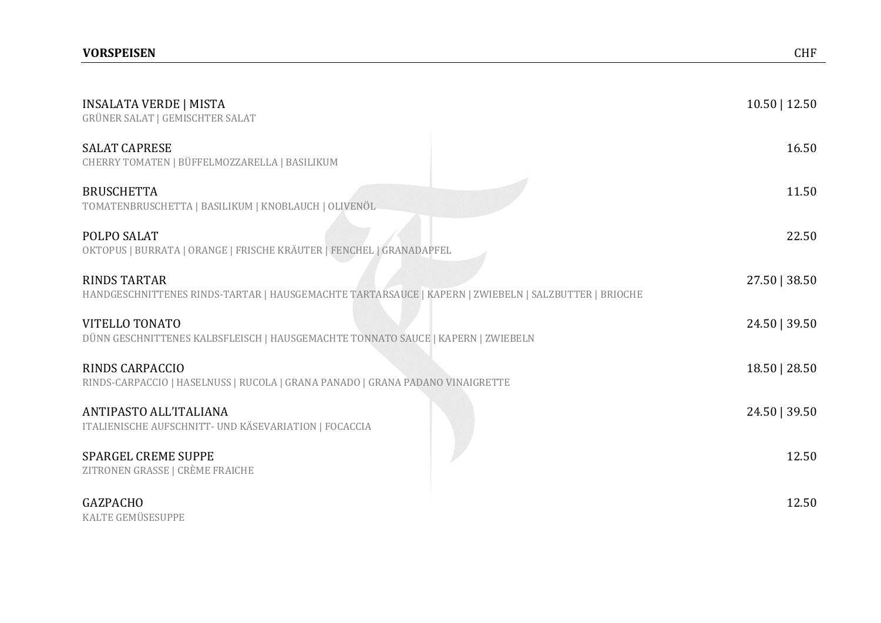| <b>INSALATA VERDE   MISTA</b><br><b>GRÜNER SALAT   GEMISCHTER SALAT</b>                                                     | $10.50$   12.50 |
|-----------------------------------------------------------------------------------------------------------------------------|-----------------|
| <b>SALAT CAPRESE</b><br>CHERRY TOMATEN   BÜFFELMOZZARELLA   BASILIKUM                                                       | 16.50           |
| <b>BRUSCHETTA</b><br>TOMATENBRUSCHETTA   BASILIKUM   KNOBLAUCH   OLIVENÖL                                                   | 11.50           |
| POLPO SALAT<br>OKTOPUS   BURRATA   ORANGE   FRISCHE KRÄUTER   FENCHEL   GRANADAPFEL                                         | 22.50           |
| <b>RINDS TARTAR</b><br>HANDGESCHNITTENES RINDS-TARTAR   HAUSGEMACHTE TARTARSAUCE   KAPERN   ZWIEBELN   SALZBUTTER   BRIOCHE | 27.50   38.50   |
| <b>VITELLO TONATO</b><br>DÜNN GESCHNITTENES KALBSFLEISCH   HAUSGEMACHTE TONNATO SAUCE   KAPERN   ZWIEBELN                   | 24.50   39.50   |
| RINDS CARPACCIO<br>RINDS-CARPACCIO   HASELNUSS   RUCOLA   GRANA PANADO   GRANA PADANO VINAIGRETTE                           | 18.50   28.50   |
| ANTIPASTO ALL'ITALIANA<br>ITALIENISCHE AUFSCHNITT- UND KÄSEVARIATION   FOCACCIA                                             | 24.50   39.50   |
| <b>SPARGEL CREME SUPPE</b><br>ZITRONEN GRASSE   CRÈME FRAICHE                                                               | 12.50           |

# GAZPACHO 12.50

KALTE GEMÜSESUPPE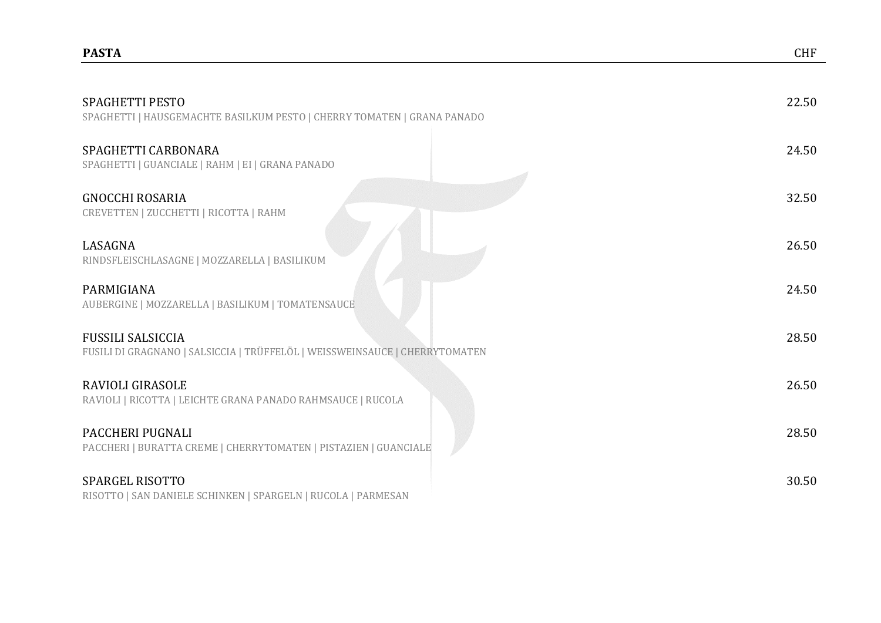| <b>SPAGHETTI PESTO</b><br>SPAGHETTI   HAUSGEMACHTE BASILKUM PESTO   CHERRY TOMATEN   GRANA PANADO       | 22.50 |
|---------------------------------------------------------------------------------------------------------|-------|
| SPAGHETTI CARBONARA<br>SPAGHETTI   GUANCIALE   RAHM   EI   GRANA PANADO                                 | 24.50 |
| <b>GNOCCHI ROSARIA</b><br>CREVETTEN   ZUCCHETTI   RICOTTA   RAHM                                        | 32.50 |
| LASAGNA<br>RINDSFLEISCHLASAGNE   MOZZARELLA   BASILIKUM                                                 | 26.50 |
| PARMIGIANA<br>AUBERGINE   MOZZARELLA   BASILIKUM   TOMATENSAUCE                                         | 24.50 |
| <b>FUSSILI SALSICCIA</b><br>FUSILI DI GRAGNANO   SALSICCIA   TRÜFFELÖL   WEISSWEINSAUCE   CHERRYTOMATEN | 28.50 |
| RAVIOLI GIRASOLE<br>RAVIOLI   RICOTTA   LEICHTE GRANA PANADO RAHMSAUCE   RUCOLA                         | 26.50 |
| PACCHERI PUGNALI<br>PACCHERI   BURATTA CREME   CHERRYTOMATEN   PISTAZIEN   GUANCIALE                    | 28.50 |
| SPARGEL RISOTTO                                                                                         | 30.50 |

RISOTTO | SAN DANIELE SCHINKEN | SPARGELN | RUCOLA | PARMESAN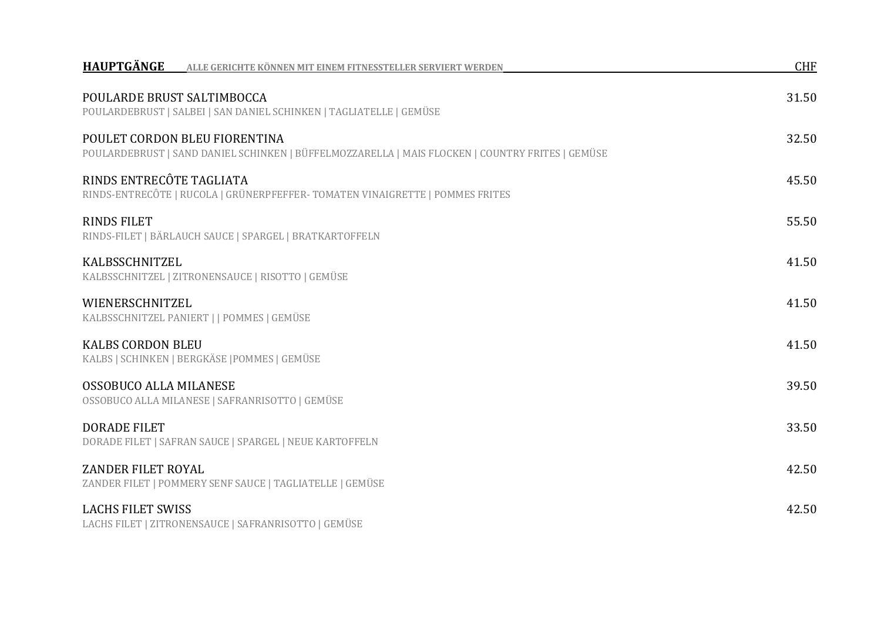| HAUPTGÄNGE<br>ALLE GERICHTE KÖNNEN MIT EINEM FITNESSTELLER SERVIERT WERDEN                                                        | <b>CHF</b> |
|-----------------------------------------------------------------------------------------------------------------------------------|------------|
| POULARDE BRUST SALTIMBOCCA<br>POULARDEBRUST   SALBEI   SAN DANIEL SCHINKEN   TAGLIATELLE   GEMÜSE                                 | 31.50      |
| POULET CORDON BLEU FIORENTINA<br>POULARDEBRUST   SAND DANIEL SCHINKEN   BÜFFELMOZZARELLA   MAIS FLOCKEN   COUNTRY FRITES   GEMÜSE | 32.50      |
| RINDS ENTRECÔTE TAGLIATA<br>RINDS-ENTRECÔTE   RUCOLA   GRÜNERPFEFFER-TOMATEN VINAIGRETTE   POMMES FRITES                          | 45.50      |
| <b>RINDS FILET</b><br>RINDS-FILET   BÄRLAUCH SAUCE   SPARGEL   BRATKARTOFFELN                                                     | 55.50      |
| KALBSSCHNITZEL<br>KALBSSCHNITZEL   ZITRONENSAUCE   RISOTTO   GEMÜSE                                                               | 41.50      |
| WIENERSCHNITZEL<br>KALBSSCHNITZEL PANIERT     POMMES   GEMÜSE                                                                     | 41.50      |
| <b>KALBS CORDON BLEU</b><br>KALBS   SCHINKEN   BERGKÄSE   POMMES   GEMÜSE                                                         | 41.50      |
| OSSOBUCO ALLA MILANESE<br>OSSOBUCO ALLA MILANESE   SAFRANRISOTTO   GEMÜSE                                                         | 39.50      |
| <b>DORADE FILET</b><br>DORADE FILET   SAFRAN SAUCE   SPARGEL   NEUE KARTOFFELN                                                    | 33.50      |
| ZANDER FILET ROYAL<br>ZANDER FILET   POMMERY SENF SAUCE   TAGLIATELLE   GEMÜSE                                                    | 42.50      |
| <b>LACHS FILET SWISS</b><br>LACHS FILET   ZITRONENSAUCE   SAFRANRISOTTO   GEMÜSE                                                  | 42.50      |